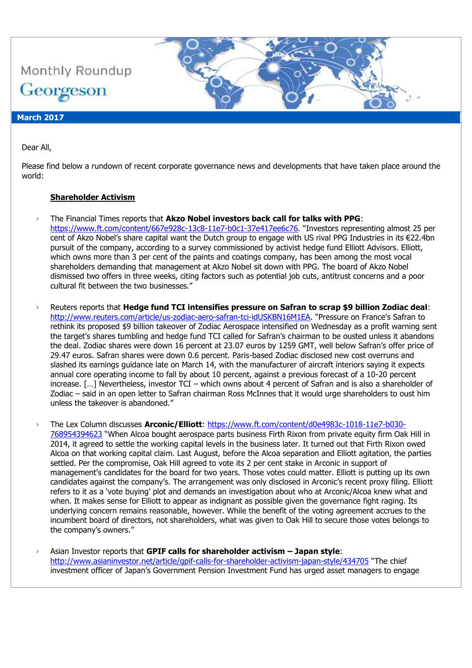

# Dear All,

Please find below a rundown of recent corporate governance news and developments that have taken place around the world:

#### **Shareholder Activism**

- › The Financial Times reports that **Akzo Nobel investors back call for talks with PPG**: <https://www.ft.com/content/667e928c-13c8-11e7-b0c1-37e417ee6c76>. "Investors representing almost 25 per cent of Akzo Nobel's share capital want the Dutch group to engage with US rival PPG Industries in its €22.4bn pursuit of the company, according to a survey commissioned by activist hedge fund Elliott Advisors. Elliott, which owns more than 3 per cent of the paints and coatings company, has been among the most vocal shareholders demanding that management at Akzo Nobel sit down with PPG. The board of Akzo Nobel dismissed two offers in three weeks, citing factors such as potential job cuts, antitrust concerns and a poor cultural fit between the two businesses."
- › Reuters reports that **Hedge fund TCI intensifies pressure on Safran to scrap \$9 billion Zodiac deal**: <http://www.reuters.com/article/us-zodiac-aero-safran-tci-idUSKBN16M1EA>. "Pressure on France's Safran to rethink its proposed \$9 billion takeover of Zodiac Aerospace intensified on Wednesday as a profit warning sent the target's shares tumbling and hedge fund TCI called for Safran's chairman to be ousted unless it abandons the deal. Zodiac shares were down 16 percent at 23.07 euros by 1259 GMT, well below Safran's offer price of 29.47 euros. Safran shares were down 0.6 percent. Paris-based Zodiac disclosed new cost overruns and slashed its earnings guidance late on March 14, with the manufacturer of aircraft interiors saying it expects annual core operating income to fall by about 10 percent, against a previous forecast of a 10-20 percent increase. […] Nevertheless, investor TCI – which owns about 4 percent of Safran and is also a shareholder of Zodiac – said in an open letter to Safran chairman Ross McInnes that it would urge shareholders to oust him unless the takeover is abandoned."
- › The Lex Column discusses **Arconic/Elliott**: [https://www.ft.com/content/d0e4983c-1018-11e7-b030-](https://www.ft.com/content/d0e4983c-1018-11e7-b030-768954394623) [768954394623](https://www.ft.com/content/d0e4983c-1018-11e7-b030-768954394623) "When Alcoa bought aerospace parts business Firth Rixon from private equity firm Oak Hill in 2014, it agreed to settle the working capital levels in the business later. It turned out that Firth Rixon owed Alcoa on that working capital claim. Last August, before the Alcoa separation and Elliott agitation, the parties settled. Per the compromise, Oak Hill agreed to vote its 2 per cent stake in Arconic in support of management's candidates for the board for two years. Those votes could matter. Elliott is putting up its own candidates against the company's. The arrangement was only disclosed in Arconic's recent proxy filing. Elliott refers to it as a 'vote buying' plot and demands an investigation about who at Arconic/Alcoa knew what and when. It makes sense for Elliott to appear as indignant as possible given the governance fight raging. Its underlying concern remains reasonable, however. While the benefit of the voting agreement accrues to the incumbent board of directors, not shareholders, what was given to Oak Hill to secure those votes belongs to the company's owners."
- › Asian Investor reports that **GPIF calls for shareholder activism – Japan style**: <http://www.asianinvestor.net/article/gpif-calls-for-shareholder-activism-japan-style/434705> "The chief investment officer of Japan's Government Pension Investment Fund has urged asset managers to engage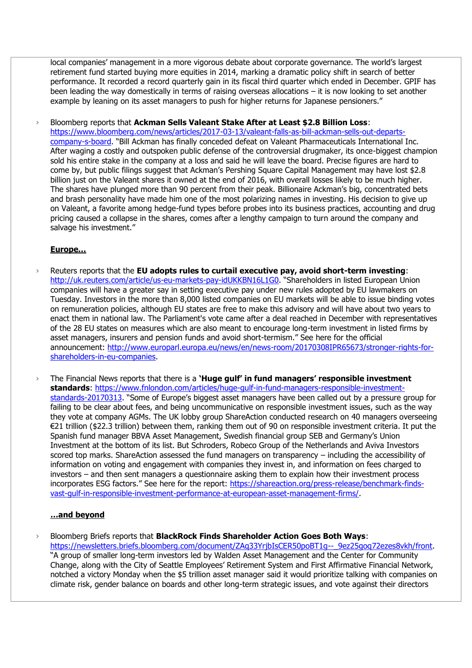local companies' management in a more vigorous debate about corporate governance. The world's largest retirement fund started buying more equities in 2014, marking a dramatic policy shift in search of better performance. It recorded a record quarterly gain in its fiscal third quarter which ended in December. GPIF has been leading the way domestically in terms of raising overseas allocations – it is now looking to set another example by leaning on its asset managers to push for higher returns for Japanese pensioners."

› Bloomberg reports that **Ackman Sells Valeant Stake After at Least \$2.8 Billion Loss**: [https://www.bloomberg.com/news/articles/2017-03-13/valeant-falls-as-bill-ackman-sells-out-departs](https://www.bloomberg.com/news/articles/2017-03-13/valeant-falls-as-bill-ackman-sells-out-departs-company-s-board)[company-s-board](https://www.bloomberg.com/news/articles/2017-03-13/valeant-falls-as-bill-ackman-sells-out-departs-company-s-board). "Bill Ackman has finally conceded defeat on Valeant Pharmaceuticals International Inc. After waging a costly and outspoken public defense of the controversial drugmaker, its once-biggest champion sold his entire stake in the company at a loss and said he will leave the board. Precise figures are hard to come by, but public filings suggest that Ackman's Pershing Square Capital Management may have lost \$2.8 billion just on the Valeant shares it owned at the end of 2016, with overall losses likely to be much higher. The shares have plunged more than 90 percent from their peak. Billionaire Ackman's big, concentrated bets and brash personality have made him one of the most polarizing names in investing. His decision to give up on Valeant, a favorite among hedge-fund types before probes into its business practices, accounting and drug pricing caused a collapse in the shares, comes after a lengthy campaign to turn around the company and salvage his investment."

### **Europe…**

- › Reuters reports that the **EU adopts rules to curtail executive pay, avoid short-term investing**: <http://uk.reuters.com/article/us-eu-markets-pay-idUKKBN16L1G0>. "Shareholders in listed European Union companies will have a greater say in setting executive pay under new rules adopted by EU lawmakers on Tuesday. Investors in the more than 8,000 listed companies on EU markets will be able to issue binding votes on remuneration policies, although EU states are free to make this advisory and will have about two years to enact them in national law. The Parliament's vote came after a deal reached in December with representatives of the 28 EU states on measures which are also meant to encourage long-term investment in listed firms by asset managers, insurers and pension funds and avoid short-termism." See here for the official announcement: [http://www.europarl.europa.eu/news/en/news-room/20170308IPR65673/stronger-rights-for](http://www.europarl.europa.eu/news/en/news-room/20170308IPR65673/stronger-rights-for-shareholders-in-eu-companies)[shareholders-in-eu-companies.](http://www.europarl.europa.eu/news/en/news-room/20170308IPR65673/stronger-rights-for-shareholders-in-eu-companies)
- › The Financial News reports that there is a **'Huge gulf' in fund managers' responsible investment standards**: [https://www.fnlondon.com/articles/huge-gulf-in-fund-managers-responsible-investment](https://www.fnlondon.com/articles/huge-gulf-in-fund-managers-responsible-investment-standards-20170313)[standards-20170313](https://www.fnlondon.com/articles/huge-gulf-in-fund-managers-responsible-investment-standards-20170313). "Some of Europe's biggest asset managers have been called out by a pressure group for failing to be clear about fees, and being uncommunicative on responsible investment issues, such as the way they vote at company AGMs. The UK lobby group ShareAction conducted research on 40 managers overseeing €21 trillion (\$22.3 trillion) between them, ranking them out of 90 on responsible investment criteria. It put the Spanish fund manager BBVA Asset Management, Swedish financial group SEB and Germany's Union Investment at the bottom of its list. But Schroders, Robeco Group of the Netherlands and Aviva Investors scored top marks. ShareAction assessed the fund managers on transparency – including the accessibility of information on voting and engagement with companies they invest in, and information on fees charged to investors – and then sent managers a questionnaire asking them to explain how their investment process incorporates ESG factors." See here for the report: [https://shareaction.org/press-release/benchmark-finds](https://shareaction.org/press-release/benchmark-finds-vast-gulf-in-responsible-investment-performance-at-european-asset-management-firms/)[vast-gulf-in-responsible-investment-performance-at-european-asset-management-firms/.](https://shareaction.org/press-release/benchmark-finds-vast-gulf-in-responsible-investment-performance-at-european-asset-management-firms/)

#### **…and beyond**

› Bloomberg Briefs reports that **BlackRock Finds Shareholder Action Goes Both Ways**: https://newsletters.briefs.bloomberg.com/document/ZAq33YribIsCER50poBT1g--\_9ez25qoq72ezes8vkh/front. "A group of smaller long-term investors led by Walden Asset Management and the Center for Community Change, along with the City of Seattle Employees' Retirement System and First Affirmative Financial Network, notched a victory Monday when the \$5 trillion asset manager said it would prioritize talking with companies on climate risk, gender balance on boards and other long-term strategic issues, and vote against their directors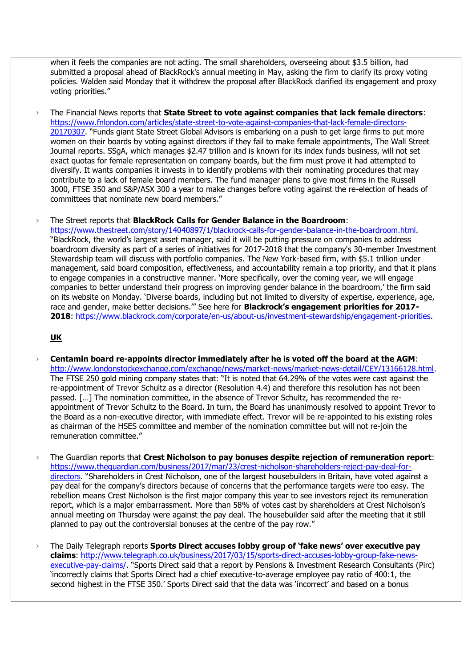when it feels the companies are not acting. The small shareholders, overseeing about \$3.5 billion, had submitted a proposal ahead of BlackRock's annual meeting in May, asking the firm to clarify its proxy voting policies. Walden said Monday that it withdrew the proposal after BlackRock clarified its engagement and proxy voting priorities."

› The Financial News reports that **State Street to vote against companies that lack female directors**: [https://www.fnlondon.com/articles/state-street-to-vote-against-companies-that-lack-female-directors-](https://www.fnlondon.com/articles/state-street-to-vote-against-companies-that-lack-female-directors-20170307)[20170307](https://www.fnlondon.com/articles/state-street-to-vote-against-companies-that-lack-female-directors-20170307). "Funds giant State Street Global Advisors is embarking on a push to get large firms to put more women on their boards by voting against directors if they fail to make female appointments, The Wall Street Journal reports. SSgA, which manages \$2.47 trillion and is known for its index funds business, will not set exact quotas for female representation on company boards, but the firm must prove it had attempted to diversify. It wants companies it invests in to identify problems with their nominating procedures that may contribute to a lack of female board members. The fund manager plans to give most firms in the Russell 3000, FTSE 350 and S&P/ASX 300 a year to make changes before voting against the re-election of heads of committees that nominate new board members."

› The Street reports that **BlackRock Calls for Gender Balance in the Boardroom**:

[https://www.thestreet.com/story/14040897/1/blackrock-calls-for-gender-balance-in-the-boardroom.html.](https://www.thestreet.com/story/14040897/1/blackrock-calls-for-gender-balance-in-the-boardroom.html) "BlackRock, the world's largest asset manager, said it will be putting pressure on companies to address boardroom diversity as part of a series of initiatives for 2017-2018 that the company's 30-member Investment Stewardship team will discuss with portfolio companies. The New York-based firm, with \$5.1 trillion under management, said board composition, effectiveness, and accountability remain a top priority, and that it plans to engage companies in a constructive manner. 'More specifically, over the coming year, we will engage companies to better understand their progress on improving gender balance in the boardroom,' the firm said on its website on Monday. 'Diverse boards, including but not limited to diversity of expertise, experience, age, race and gender, make better decisions.'" See here for **Blackrock's engagement priorities for 2017- 2018**: [https://www.blackrock.com/corporate/en-us/about-us/investment-stewardship/engagement-priorities.](https://www.blackrock.com/corporate/en-us/about-us/investment-stewardship/engagement-priorities)

# **UK**

- › **Centamin board re-appoints director immediately after he is voted off the board at the AGM**: [http://www.londonstockexchange.com/exchange/news/market-news/market-news-detail/CEY/13166128.html.](http://www.londonstockexchange.com/exchange/news/market-news/market-news-detail/CEY/13166128.html) The FTSE 250 gold mining company states that: "It is noted that 64.29% of the votes were cast against the re-appointment of Trevor Schultz as a director (Resolution 4.4) and therefore this resolution has not been passed. […] The nomination committee, in the absence of Trevor Schultz, has recommended the reappointment of Trevor Schultz to the Board. In turn, the Board has unanimously resolved to appoint Trevor to the Board as a non-executive director, with immediate effect. Trevor will be re-appointed to his existing roles as chairman of the HSES committee and member of the nomination committee but will not re-join the remuneration committee."
- › The Guardian reports that **Crest Nicholson to pay bonuses despite rejection of remuneration report**: [https://www.theguardian.com/business/2017/mar/23/crest-nicholson-shareholders-reject-pay-deal-for](https://www.theguardian.com/business/2017/mar/23/crest-nicholson-shareholders-reject-pay-deal-for-directors)[directors](https://www.theguardian.com/business/2017/mar/23/crest-nicholson-shareholders-reject-pay-deal-for-directors). "Shareholders in Crest Nicholson, one of the largest housebuilders in Britain, have voted against a pay deal for the company's directors because of concerns that the performance targets were too easy. The rebellion means Crest Nicholson is the first major company this year to see investors reject its remuneration report, which is a major embarrassment. More than 58% of votes cast by shareholders at Crest Nicholson's annual meeting on Thursday were against the pay deal. The housebuilder said after the meeting that it still planned to pay out the controversial bonuses at the centre of the pay row."
- › The Daily Telegraph reports **Sports Direct accuses lobby group of 'fake news' over executive pay claims**: [http://www.telegraph.co.uk/business/2017/03/15/sports-direct-accuses-lobby-group-fake-news](http://www.telegraph.co.uk/business/2017/03/15/sports-direct-accuses-lobby-group-fake-news-executive-pay-claims/)[executive-pay-claims/](http://www.telegraph.co.uk/business/2017/03/15/sports-direct-accuses-lobby-group-fake-news-executive-pay-claims/). "Sports Direct said that a report by Pensions & Investment Research Consultants (Pirc) 'incorrectly claims that Sports Direct had a chief executive-to-average employee pay ratio of 400:1, the second highest in the FTSE 350.' Sports Direct said that the data was 'incorrect' and based on a bonus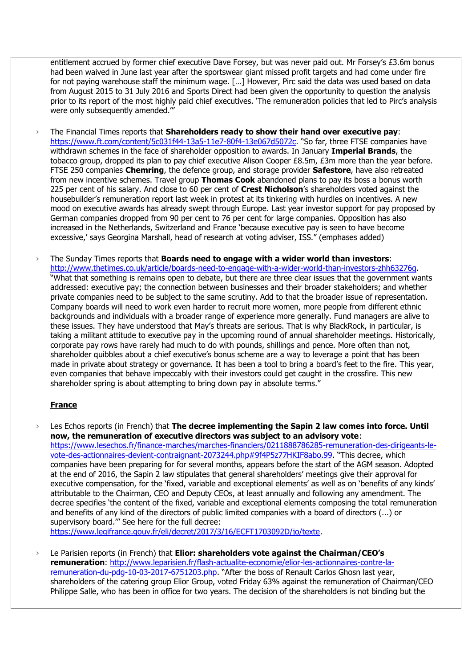entitlement accrued by former chief executive Dave Forsey, but was never paid out. Mr Forsey's £3.6m bonus had been waived in June last year after the sportswear giant missed profit targets and had come under fire for not paying warehouse staff the minimum wage. […] However, Pirc said the data was used based on data from August 2015 to 31 July 2016 and Sports Direct had been given the opportunity to question the analysis prior to its report of the most highly paid chief executives. 'The remuneration policies that led to Pirc's analysis were only subsequently amended."

- › The Financial Times reports that **Shareholders ready to show their hand over executive pay**: [https://www.ft.com/content/5c031f44-13a5-11e7-80f4-13e067d5072c.](https://www.ft.com/content/5c031f44-13a5-11e7-80f4-13e067d5072c) "So far, three FTSE companies have withdrawn schemes in the face of shareholder opposition to awards. In January **Imperial Brands**, the tobacco group, dropped its plan to pay chief executive Alison Cooper £8.5m, £3m more than the year before. FTSE 250 companies **Chemring**, the defence group, and storage provider **Safestore**, have also retreated from new incentive schemes. Travel group **Thomas Cook** abandoned plans to pay its boss a bonus worth 225 per cent of his salary. And close to 60 per cent of **Crest Nicholson**'s shareholders voted against the housebuilder's remuneration report last week in protest at its tinkering with hurdles on incentives. A new mood on executive awards has already swept through Europe. Last year investor support for pay proposed by German companies dropped from 90 per cent to 76 per cent for large companies. Opposition has also increased in the Netherlands, Switzerland and France 'because executive pay is seen to have become excessive,' says Georgina Marshall, head of research at voting adviser, ISS." (emphases added)
- › The Sunday Times reports that **Boards need to engage with a wider world than investors**: [http://www.thetimes.co.uk/article/boards-need-to-engage-with-a-wider-world-than-investors-zhh63276g.](http://www.thetimes.co.uk/article/boards-need-to-engage-with-a-wider-world-than-investors-zhh63276g) "What that something is remains open to debate, but there are three clear issues that the government wants addressed: executive pay; the connection between businesses and their broader stakeholders; and whether private companies need to be subject to the same scrutiny. Add to that the broader issue of representation. Company boards will need to work even harder to recruit more women, more people from different ethnic backgrounds and individuals with a broader range of experience more generally. Fund managers are alive to these issues. They have understood that May's threats are serious. That is why BlackRock, in particular, is taking a militant attitude to executive pay in the upcoming round of annual shareholder meetings. Historically, corporate pay rows have rarely had much to do with pounds, shillings and pence. More often than not, shareholder quibbles about a chief executive's bonus scheme are a way to leverage a point that has been made in private about strategy or governance. It has been a tool to bring a board's feet to the fire. This year, even companies that behave impeccably with their investors could get caught in the crossfire. This new shareholder spring is about attempting to bring down pay in absolute terms."

#### **France**

› Les Echos reports (in French) that **The decree implementing the Sapin 2 law comes into force. Until now, the remuneration of executive directors was subject to an advisory vote**: [https://www.lesechos.fr/finance-marches/marches-financiers/0211888786285-remuneration-des-dirigeants-le](https://www.lesechos.fr/finance-marches/marches-financiers/0211888786285-remuneration-des-dirigeants-le-vote-des-actionnaires-devient-contraignant-2073244.php#9f4P5z77HKIF8abo.99)[vote-des-actionnaires-devient-contraignant-2073244.php#9f4P5z77HKIF8abo.99](https://www.lesechos.fr/finance-marches/marches-financiers/0211888786285-remuneration-des-dirigeants-le-vote-des-actionnaires-devient-contraignant-2073244.php#9f4P5z77HKIF8abo.99). "This decree, which companies have been preparing for for several months, appears before the start of the AGM season. Adopted at the end of 2016, the Sapin 2 law stipulates that general shareholders' meetings give their approval for executive compensation, for the 'fixed, variable and exceptional elements' as well as on 'benefits of any kinds' attributable to the Chairman, CEO and Deputy CEOs, at least annually and following any amendment. The decree specifies 'the content of the fixed, variable and exceptional elements composing the total remuneration and benefits of any kind of the directors of public limited companies with a board of directors (...) or supervisory board.'" See here for the full decree:

[https://www.legifrance.gouv.fr/eli/decret/2017/3/16/ECFT1703092D/jo/texte.](https://www.legifrance.gouv.fr/eli/decret/2017/3/16/ECFT1703092D/jo/texte)

› Le Parisien reports (in French) that **Elior: shareholders vote against the Chairman/CEO's remuneration**: [http://www.leparisien.fr/flash-actualite-economie/elior-les-actionnaires-contre-la](http://www.leparisien.fr/flash-actualite-economie/elior-les-actionnaires-contre-la-remuneration-du-pdg-10-03-2017-6751203.php)[remuneration-du-pdg-10-03-2017-6751203.php](http://www.leparisien.fr/flash-actualite-economie/elior-les-actionnaires-contre-la-remuneration-du-pdg-10-03-2017-6751203.php). "After the boss of Renault Carlos Ghosn last year, shareholders of the catering group Elior Group, voted Friday 63% against the remuneration of Chairman/CEO Philippe Salle, who has been in office for two years. The decision of the shareholders is not binding but the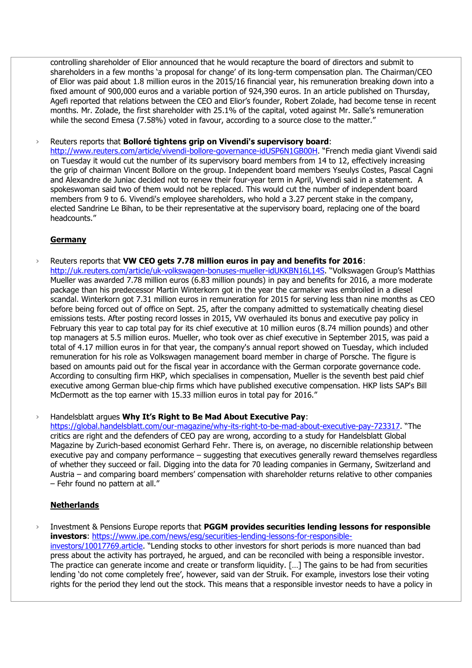controlling shareholder of Elior announced that he would recapture the board of directors and submit to shareholders in a few months 'a proposal for change' of its long-term compensation plan. The Chairman/CEO of Elior was paid about 1.8 million euros in the 2015/16 financial year, his remuneration breaking down into a fixed amount of 900,000 euros and a variable portion of 924,390 euros. In an article published on Thursday, Agefi reported that relations between the CEO and Elior's founder, Robert Zolade, had become tense in recent months. Mr. Zolade, the first shareholder with 25.1% of the capital, voted against Mr. Salle's remuneration while the second Emesa (7.58%) voted in favour, according to a source close to the matter."

› Reuters reports that **Bolloré tightens grip on Vivendi's supervisory board**:

<http://www.reuters.com/article/vivendi-bollore-governance-idUSP6N1GB00H>. "French media giant Vivendi said on Tuesday it would cut the number of its supervisory board members from 14 to 12, effectively increasing the grip of chairman Vincent Bollore on the group. Independent board members Yseulys Costes, Pascal Cagni and Alexandre de Juniac decided not to renew their four-year term in April, Vivendi said in a statement. A spokeswoman said two of them would not be replaced. This would cut the number of independent board members from 9 to 6. Vivendi's employee shareholders, who hold a 3.27 percent stake in the company, elected Sandrine Le Bihan, to be their representative at the supervisory board, replacing one of the board headcounts."

# **Germany**

› Reuters reports that **VW CEO gets 7.78 million euros in pay and benefits for 2016**: <http://uk.reuters.com/article/uk-volkswagen-bonuses-mueller-idUKKBN16L14S>. "Volkswagen Group's Matthias Mueller was awarded 7.78 million euros (6.83 million pounds) in pay and benefits for 2016, a more moderate package than his predecessor Martin Winterkorn got in the year the carmaker was embroiled in a diesel scandal. Winterkorn got 7.31 million euros in remuneration for 2015 for serving less than nine months as CEO before being forced out of office on Sept. 25, after the company admitted to systematically cheating diesel emissions tests. After posting record losses in 2015, VW overhauled its bonus and executive pay policy in February this year to cap total pay for its chief executive at 10 million euros (8.74 million pounds) and other top managers at 5.5 million euros. Mueller, who took over as chief executive in September 2015, was paid a total of 4.17 million euros in for that year, the company's annual report showed on Tuesday, which included remuneration for his role as Volkswagen management board member in charge of Porsche. The figure is based on amounts paid out for the fiscal year in accordance with the German corporate governance code. According to consulting firm HKP, which specialises in compensation, Mueller is the seventh best paid chief executive among German blue-chip firms which have published executive compensation. HKP lists SAP's Bill McDermott as the top earner with 15.33 million euros in total pay for 2016."

› Handelsblatt argues **Why It's Right to Be Mad About Executive Pay**:

<https://global.handelsblatt.com/our-magazine/why-its-right-to-be-mad-about-executive-pay-723317>. "The critics are right and the defenders of CEO pay are wrong, according to a study for Handelsblatt Global Magazine by Zurich-based economist Gerhard Fehr. There is, on average, no discernible relationship between executive pay and company performance – suggesting that executives generally reward themselves regardless of whether they succeed or fail. Digging into the data for 70 leading companies in Germany, Switzerland and Austria – and comparing board members' compensation with shareholder returns relative to other companies – Fehr found no pattern at all."

# **Netherlands**

Investment & Pensions Europe reports that PGGM provides securities lending lessons for responsible **investors**: [https://www.ipe.com/news/esg/securities-lending-lessons-for-responsible](https://www.ipe.com/news/esg/securities-lending-lessons-for-responsible-investors/10017769.article)[investors/10017769.article](https://www.ipe.com/news/esg/securities-lending-lessons-for-responsible-investors/10017769.article). "Lending stocks to other investors for short periods is more nuanced than bad press about the activity has portrayed, he argued, and can be reconciled with being a responsible investor. The practice can generate income and create or transform liquidity. […] The gains to be had from securities lending 'do not come completely free', however, said van der Struik. For example, investors lose their voting rights for the period they lend out the stock. This means that a responsible investor needs to have a policy in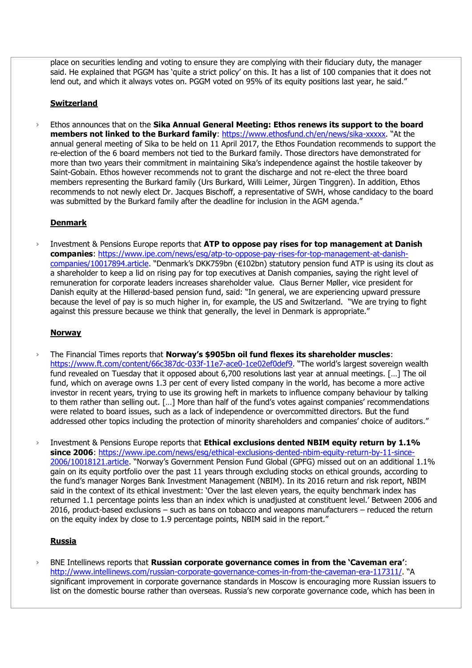place on securities lending and voting to ensure they are complying with their fiduciary duty, the manager said. He explained that PGGM has 'quite a strict policy' on this. It has a list of 100 companies that it does not lend out, and which it always votes on. PGGM voted on 95% of its equity positions last year, he said."

# **Switzerland**

Ethos announces that on the **Sika Annual General Meeting: Ethos renews its support to the board members not linked to the Burkard family**:<https://www.ethosfund.ch/en/news/sika-xxxxx>. "At the annual general meeting of Sika to be held on 11 April 2017, the Ethos Foundation recommends to support the re-election of the 6 board members not tied to the Burkard family. Those directors have demonstrated for more than two years their commitment in maintaining Sika's independence against the hostile takeover by Saint-Gobain. Ethos however recommends not to grant the discharge and not re-elect the three board members representing the Burkard family (Urs Burkard, Willi Leimer, Jürgen Tinggren). In addition, Ethos recommends to not newly elect Dr. Jacques Bischoff, a representative of SWH, whose candidacy to the board was submitted by the Burkard family after the deadline for inclusion in the AGM agenda."

### **Denmark**

Investment & Pensions Europe reports that ATP to oppose pay rises for top management at Danish **companies**: [https://www.ipe.com/news/esg/atp-to-oppose-pay-rises-for-top-management-at-danish](https://www.ipe.com/news/esg/atp-to-oppose-pay-rises-for-top-management-at-danish-companies/10017894.article)[companies/10017894.article](https://www.ipe.com/news/esg/atp-to-oppose-pay-rises-for-top-management-at-danish-companies/10017894.article). "Denmark's DKK759bn (€102bn) statutory pension fund ATP is using its clout as a shareholder to keep a lid on rising pay for top executives at Danish companies, saying the right level of remuneration for corporate leaders increases shareholder value. Claus Berner Møller, vice president for Danish equity at the Hillerød-based pension fund, said: "In general, we are experiencing upward pressure because the level of pay is so much higher in, for example, the US and Switzerland. "We are trying to fight against this pressure because we think that generally, the level in Denmark is appropriate."

## **Norway**

- › The Financial Times reports that **Norway's \$905bn oil fund flexes its shareholder muscles**: <https://www.ft.com/content/66c387dc-033f-11e7-ace0-1ce02ef0def9>. "The world's largest sovereign wealth fund revealed on Tuesday that it opposed about 6,700 resolutions last year at annual meetings. […] The oil fund, which on average owns 1.3 per cent of every listed company in the world, has become a more active investor in recent years, trying to use its growing heft in markets to influence company behaviour by talking to them rather than selling out. […] More than half of the fund's votes against companies' recommendations were related to board issues, such as a lack of independence or overcommitted directors. But the fund addressed other topics including the protection of minority shareholders and companies' choice of auditors."
- › Investment & Pensions Europe reports that **Ethical exclusions dented NBIM equity return by 1.1%**  since 2006: https://www.ipe.com/news/esq/ethical-exclusions-dented-nbim-equity-return-by-11-since-[2006/10018121.article](https://www.ipe.com/news/esg/ethical-exclusions-dented-nbim-equity-return-by-11-since-2006/10018121.article). "Norway's Government Pension Fund Global (GPFG) missed out on an additional 1.1% gain on its equity portfolio over the past 11 years through excluding stocks on ethical grounds, according to the fund's manager Norges Bank Investment Management (NBIM). In its 2016 return and risk report, NBIM said in the context of its ethical investment: 'Over the last eleven years, the equity benchmark index has returned 1.1 percentage points less than an index which is unadjusted at constituent level.' Between 2006 and 2016, product-based exclusions – such as bans on tobacco and weapons manufacturers – reduced the return on the equity index by close to 1.9 percentage points, NBIM said in the report."

#### **Russia**

› BNE Intellinews reports that **Russian corporate governance comes in from the 'Caveman era'**: <http://www.intellinews.com/russian-corporate-governance-comes-in-from-the-caveman-era-117311/>. "A significant improvement in corporate governance standards in Moscow is encouraging more Russian issuers to list on the domestic bourse rather than overseas. Russia's new corporate governance code, which has been in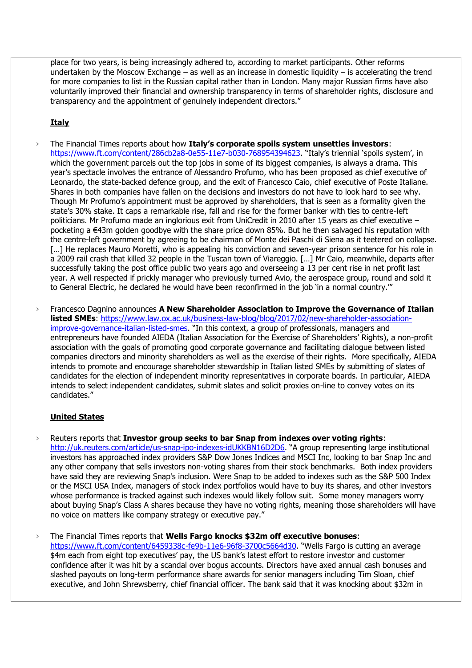place for two years, is being increasingly adhered to, according to market participants. Other reforms undertaken by the Moscow Exchange – as well as an increase in domestic liquidity – is accelerating the trend for more companies to list in the Russian capital rather than in London. Many major Russian firms have also voluntarily improved their financial and ownership transparency in terms of shareholder rights, disclosure and transparency and the appointment of genuinely independent directors."

# **Italy**

- › The Financial Times reports about how **Italy's corporate spoils system unsettles investors**: <https://www.ft.com/content/286cb2a8-0e55-11e7-b030-768954394623>. "Italy's triennial 'spoils system', in which the government parcels out the top jobs in some of its biggest companies, is always a drama. This year's spectacle involves the entrance of Alessandro Profumo, who has been proposed as chief executive of Leonardo, the state-backed defence group, and the exit of Francesco Caio, chief executive of Poste Italiane. Shares in both companies have fallen on the decisions and investors do not have to look hard to see why. Though Mr Profumo's appointment must be approved by shareholders, that is seen as a formality given the state's 30% stake. It caps a remarkable rise, fall and rise for the former banker with ties to centre-left politicians. Mr Profumo made an inglorious exit from UniCredit in 2010 after 15 years as chief executive – pocketing a €43m golden goodbye with the share price down 85%. But he then salvaged his reputation with the centre-left government by agreeing to be chairman of Monte dei Paschi di Siena as it teetered on collapse. [...] He replaces Mauro Moretti, who is appealing his conviction and seven-year prison sentence for his role in a 2009 rail crash that killed 32 people in the Tuscan town of Viareggio. […] Mr Caio, meanwhile, departs after successfully taking the post office public two years ago and overseeing a 13 per cent rise in net profit last year. A well respected if prickly manager who previously turned Avio, the aerospace group, round and sold it to General Electric, he declared he would have been reconfirmed in the job 'in a normal country.'"
- › Francesco Dagnino announces **A New Shareholder Association to Improve the Governance of Italian listed SMEs**: [https://www.law.ox.ac.uk/business-law-blog/blog/2017/02/new-shareholder-association](https://www.law.ox.ac.uk/business-law-blog/blog/2017/02/new-shareholder-association-improve-governance-italian-listed-smes)[improve-governance-italian-listed-smes](https://www.law.ox.ac.uk/business-law-blog/blog/2017/02/new-shareholder-association-improve-governance-italian-listed-smes). "In this context, a group of professionals, managers and entrepreneurs have founded AIEDA (Italian Association for the Exercise of Shareholders' Rights), a non-profit association with the goals of promoting good corporate governance and facilitating dialogue between listed companies directors and minority shareholders as well as the exercise of their rights. More specifically, AIEDA intends to promote and encourage shareholder stewardship in Italian listed SMEs by submitting of slates of candidates for the election of independent minority representatives in corporate boards. In particular, AIEDA intends to select independent candidates, submit slates and solicit proxies on-line to convey votes on its candidates."

# **United States**

› Reuters reports that **Investor group seeks to bar Snap from indexes over voting rights**: <http://uk.reuters.com/article/us-snap-ipo-indexes-idUKKBN16D2D6>. "A group representing large institutional investors has approached index providers S&P Dow Jones Indices and MSCI Inc, looking to bar Snap Inc and any other company that sells investors non-voting shares from their stock benchmarks. Both index providers have said they are reviewing Snap's inclusion. Were Snap to be added to indexes such as the S&P 500 Index or the MSCI USA Index, managers of stock index portfolios would have to buy its shares, and other investors whose performance is tracked against such indexes would likely follow suit. Some money managers worry about buying Snap's Class A shares because they have no voting rights, meaning those shareholders will have no voice on matters like company strategy or executive pay."

› The Financial Times reports that **Wells Fargo knocks \$32m off executive bonuses**: <https://www.ft.com/content/6459338c-fe9b-11e6-96f8-3700c5664d30>. "Wells Fargo is cutting an average \$4m each from eight top executives' pay, the US bank's latest effort to restore investor and customer confidence after it was hit by a scandal over bogus accounts. Directors have axed annual cash bonuses and slashed payouts on long-term performance share awards for senior managers including Tim Sloan, chief executive, and John Shrewsberry, chief financial officer. The bank said that it was knocking about \$32m in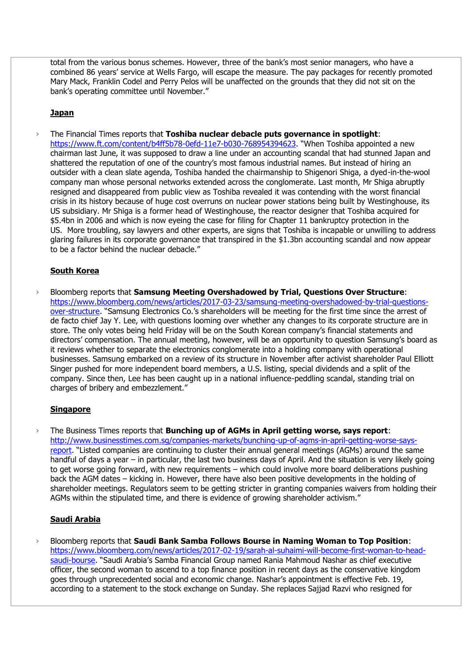total from the various bonus schemes. However, three of the bank's most senior managers, who have a combined 86 years' service at Wells Fargo, will escape the measure. The pay packages for recently promoted Mary Mack, Franklin Codel and Perry Pelos will be unaffected on the grounds that they did not sit on the bank's operating committee until November."

## **Japan**

› The Financial Times reports that **Toshiba nuclear debacle puts governance in spotlight**: <https://www.ft.com/content/b4ff5b78-0efd-11e7-b030-768954394623>. "When Toshiba appointed a new chairman last June, it was supposed to draw a line under an accounting scandal that had stunned Japan and shattered the reputation of one of the country's most famous industrial names. But instead of hiring an outsider with a clean slate agenda, Toshiba handed the chairmanship to Shigenori Shiga, a dyed-in-the-wool company man whose personal networks extended across the conglomerate. Last month, Mr Shiga abruptly resigned and disappeared from public view as Toshiba revealed it was contending with the worst financial crisis in its history because of huge cost overruns on nuclear power stations being built by Westinghouse, its US subsidiary. Mr Shiga is a former head of Westinghouse, the reactor designer that Toshiba acquired for \$5.4bn in 2006 and which is now eyeing the case for filing for Chapter 11 bankruptcy protection in the US. More troubling, say lawyers and other experts, are signs that Toshiba is incapable or unwilling to address glaring failures in its corporate governance that transpired in the \$1.3bn accounting scandal and now appear to be a factor behind the nuclear debacle."

# **South Korea**

› Bloomberg reports that **Samsung Meeting Overshadowed by Trial, Questions Over Structure**: [https://www.bloomberg.com/news/articles/2017-03-23/samsung-meeting-overshadowed-by-trial-questions](https://www.bloomberg.com/news/articles/2017-03-23/samsung-meeting-overshadowed-by-trial-questions-over-structure)[over-structure](https://www.bloomberg.com/news/articles/2017-03-23/samsung-meeting-overshadowed-by-trial-questions-over-structure). "Samsung Electronics Co.'s shareholders will be meeting for the first time since the arrest of de facto chief Jay Y. Lee, with questions looming over whether any changes to its corporate structure are in store. The only votes being held Friday will be on the South Korean company's financial statements and directors' compensation. The annual meeting, however, will be an opportunity to question Samsung's board as it reviews whether to separate the electronics conglomerate into a holding company with operational businesses. Samsung embarked on a review of its structure in November after activist shareholder Paul Elliott Singer pushed for more independent board members, a U.S. listing, special dividends and a split of the company. Since then, Lee has been caught up in a national influence-peddling scandal, standing trial on charges of bribery and embezzlement."

# **Singapore**

› The Business Times reports that **Bunching up of AGMs in April getting worse, says report**: [http://www.businesstimes.com.sg/companies-markets/bunching-up-of-agms-in-april-getting-worse-says](http://www.businesstimes.com.sg/companies-markets/bunching-up-of-agms-in-april-getting-worse-says-report)[report](http://www.businesstimes.com.sg/companies-markets/bunching-up-of-agms-in-april-getting-worse-says-report). "Listed companies are continuing to cluster their annual general meetings (AGMs) around the same handful of days a year – in particular, the last two business days of April. And the situation is very likely going to get worse going forward, with new requirements – which could involve more board deliberations pushing back the AGM dates – kicking in. However, there have also been positive developments in the holding of shareholder meetings. Regulators seem to be getting stricter in granting companies waivers from holding their AGMs within the stipulated time, and there is evidence of growing shareholder activism."

# **Saudi Arabia**

› Bloomberg reports that **Saudi Bank Samba Follows Bourse in Naming Woman to Top Position**: [https://www.bloomberg.com/news/articles/2017-02-19/sarah-al-suhaimi-will-become-first-woman-to-head](https://www.bloomberg.com/news/articles/2017-02-19/sarah-al-suhaimi-will-become-first-woman-to-head-saudi-bourse)[saudi-bourse](https://www.bloomberg.com/news/articles/2017-02-19/sarah-al-suhaimi-will-become-first-woman-to-head-saudi-bourse). "Saudi Arabia's Samba Financial Group named Rania Mahmoud Nashar as chief executive officer, the second woman to ascend to a top finance position in recent days as the conservative kingdom goes through unprecedented social and economic change. Nashar's appointment is effective Feb. 19, according to a statement to the stock exchange on Sunday. She replaces Sajjad Razvi who resigned for